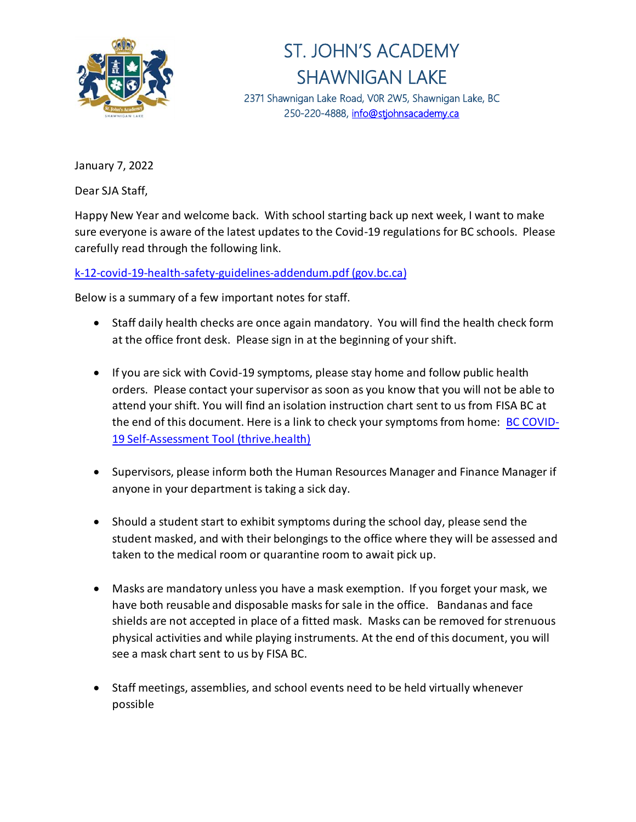

## ST. JOHN'S ACADEMY SHAWNIGAN LAKE 2371 Shawnigan Lake Road, V0R 2W5, Shawnigan Lake, BC

250-220-4888, info@stjohnsacademy.ca

January 7, 2022

Dear SJA Staff,

Happy New Year and welcome back. With school starting back up next week, I want to make sure everyone is aware of the latest updates to the Covid-19 regulations for BC schools. Please carefully read through the following link.

## [k-12-covid-19-health-safety-guidelines-addendum.pdf \(gov.bc.ca\)](https://www2.gov.bc.ca/assets/gov/education/administration/kindergarten-to-grade-12/safe-caring-orderly/k-12-covid-19-health-safety-guidelines-addendum.pdf)

Below is a summary of a few important notes for staff.

- Staff daily health checks are once again mandatory. You will find the health check form at the office front desk. Please sign in at the beginning of your shift.
- If you are sick with Covid-19 symptoms, please stay home and follow public health orders. Please contact your supervisor as soon as you know that you will not be able to attend your shift. You will find an isolation instruction chart sent to us from FISA BC at the end of this document. Here is a link to check your symptoms from home: **[BC COVID-](https://bc.thrive.health/covid19/en)**[19 Self-Assessment Tool \(thrive.health\)](https://bc.thrive.health/covid19/en)
- Supervisors, please inform both the Human Resources Manager and Finance Manager if anyone in your department is taking a sick day.
- Should a student start to exhibit symptoms during the school day, please send the student masked, and with their belongings to the office where they will be assessed and taken to the medical room or quarantine room to await pick up.
- Masks are mandatory unless you have a mask exemption. If you forget your mask, we have both reusable and disposable masks for sale in the office. Bandanas and face shields are not accepted in place of a fitted mask. Masks can be removed for strenuous physical activities and while playing instruments. At the end of this document, you will see a mask chart sent to us by FISA BC.
- Staff meetings, assemblies, and school events need to be held virtually whenever possible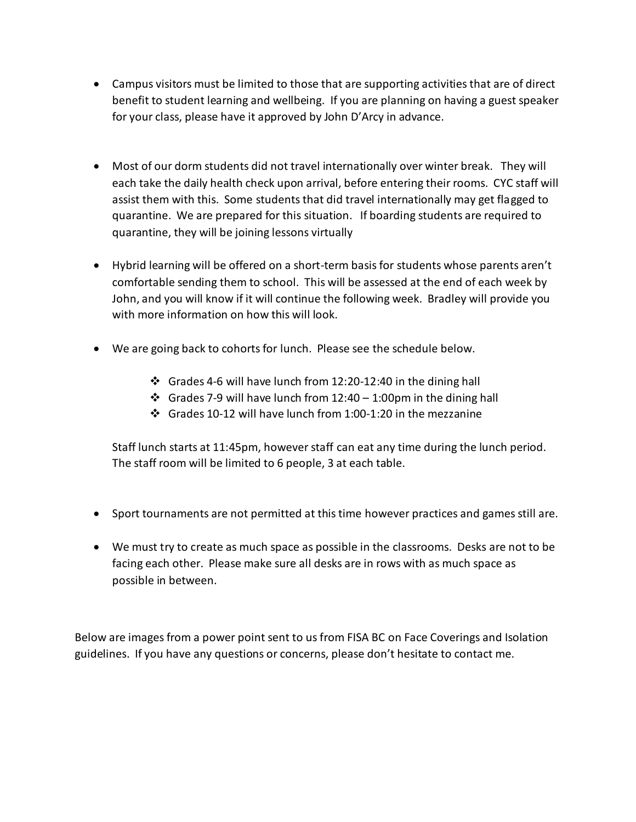- Campus visitors must be limited to those that are supporting activities that are of direct benefit to student learning and wellbeing. If you are planning on having a guest speaker for your class, please have it approved by John D'Arcy in advance.
- Most of our dorm students did not travel internationally over winter break. They will each take the daily health check upon arrival, before entering their rooms. CYC staff will assist them with this. Some students that did travel internationally may get flagged to quarantine. We are prepared for this situation. If boarding students are required to quarantine, they will be joining lessons virtually
- Hybrid learning will be offered on a short-term basis for students whose parents aren't comfortable sending them to school. This will be assessed at the end of each week by John, and you will know if it will continue the following week. Bradley will provide you with more information on how this will look.
- We are going back to cohorts for lunch. Please see the schedule below.
	- ❖ Grades 4-6 will have lunch from 12:20-12:40 in the dining hall
	- ❖ Grades 7-9 will have lunch from 12:40 1:00pm in the dining hall
	- ❖ Grades 10-12 will have lunch from 1:00-1:20 in the mezzanine

Staff lunch starts at 11:45pm, however staff can eat any time during the lunch period. The staff room will be limited to 6 people, 3 at each table.

- Sport tournaments are not permitted at this time however practices and games still are.
- We must try to create as much space as possible in the classrooms. Desks are not to be facing each other. Please make sure all desks are in rows with as much space as possible in between.

Below are images from a power point sent to us from FISA BC on Face Coverings and Isolation guidelines. If you have any questions or concerns, please don't hesitate to contact me.